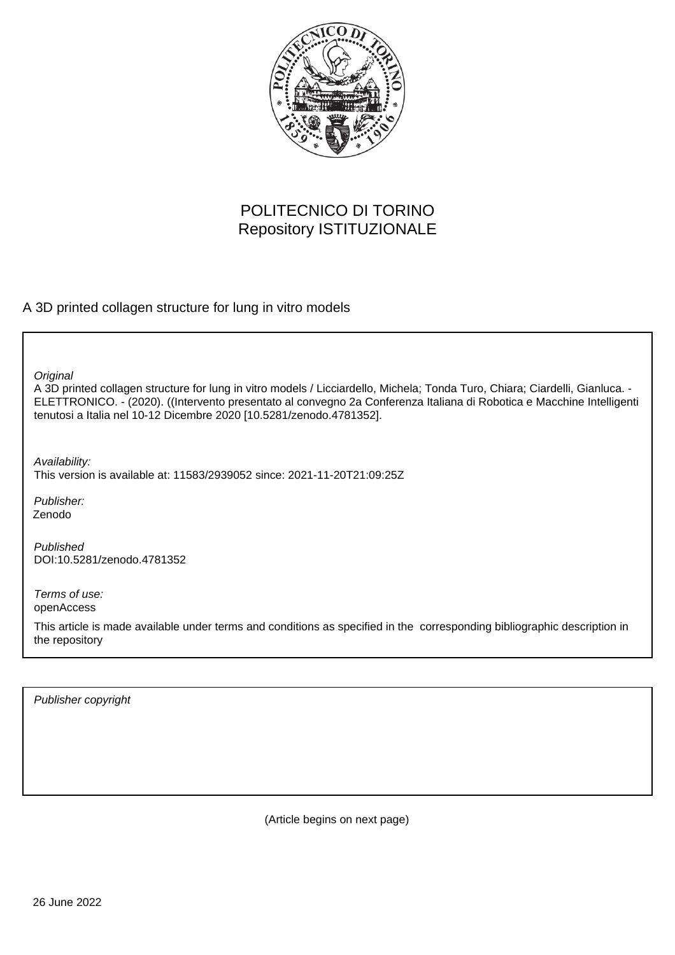

# POLITECNICO DI TORINO Repository ISTITUZIONALE

A 3D printed collagen structure for lung in vitro models

**Original** 

A 3D printed collagen structure for lung in vitro models / Licciardello, Michela; Tonda Turo, Chiara; Ciardelli, Gianluca. - ELETTRONICO. - (2020). ((Intervento presentato al convegno 2a Conferenza Italiana di Robotica e Macchine Intelligenti tenutosi a Italia nel 10-12 Dicembre 2020 [10.5281/zenodo.4781352].

Availability:

This version is available at: 11583/2939052 since: 2021-11-20T21:09:25Z

Publisher: Zenodo

Published DOI:10.5281/zenodo.4781352

Terms of use: openAccess

This article is made available under terms and conditions as specified in the corresponding bibliographic description in the repository

Publisher copyright

(Article begins on next page)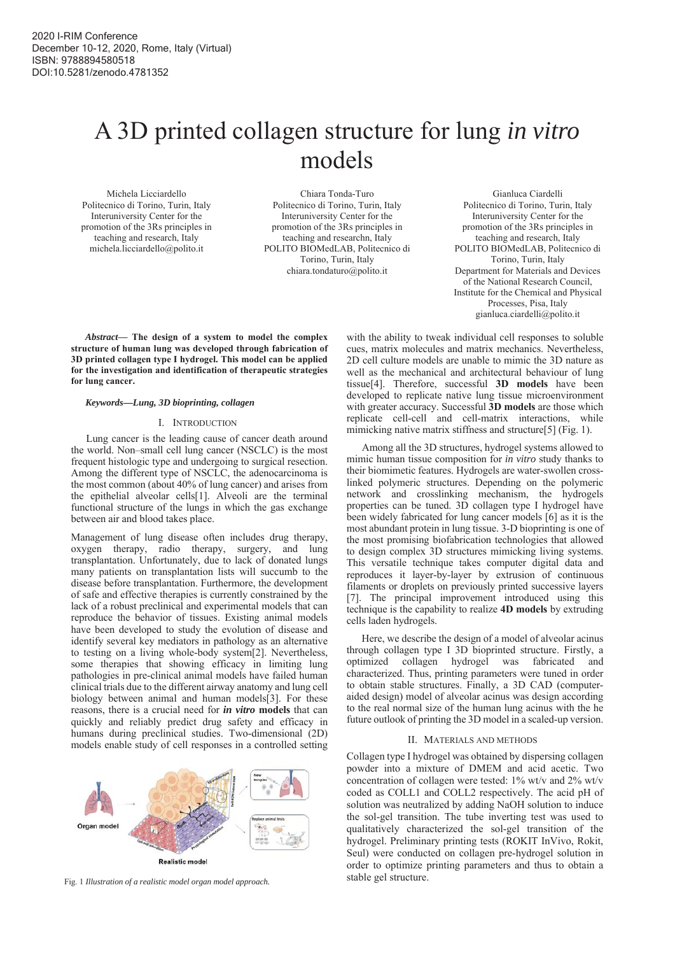# A 3D printed collagen structure for lung *in vitro* models

Michela Licciardello Politecnico di Torino, Turin, Italy Interuniversity Center for the promotion of the 3Rs principles in teaching and research, Italy michela.licciardello@polito.it

Chiara Tonda-Turo Politecnico di Torino, Turin, Italy Interuniversity Center for the promotion of the 3Rs principles in teaching and researchn, Italy POLITO BIOMedLAB, Politecnico di Torino, Turin, Italy chiara.tondaturo@polito.it

Gianluca Ciardelli Politecnico di Torino, Turin, Italy Interuniversity Center for the promotion of the 3Rs principles in teaching and research, Italy POLITO BIOMedLAB, Politecnico di Torino, Turin, Italy Department for Materials and Devices of the National Research Council, Institute for the Chemical and Physical Processes, Pisa, Italy gianluca.ciardelli@polito.it

*Abstract***— The design of a system to model the complex structure of human lung was developed through fabrication of 3D printed collagen type I hydrogel. This model can be applied for the investigation and identification of therapeutic strategies for lung cancer.** 

## *Keywords—Lung, 3D bioprinting, collagen*

#### I. INTRODUCTION

Lung cancer is the leading cause of cancer death around the world. Non–small cell lung cancer (NSCLC) is the most frequent histologic type and undergoing to surgical resection. Among the different type of NSCLC, the adenocarcinoma is the most common (about 40% of lung cancer) and arises from the epithelial alveolar cells[1]. Alveoli are the terminal functional structure of the lungs in which the gas exchange between air and blood takes place.

Management of lung disease often includes drug therapy, oxygen therapy, radio therapy, surgery, and lung transplantation. Unfortunately, due to lack of donated lungs many patients on transplantation lists will succumb to the disease before transplantation. Furthermore, the development of safe and effective therapies is currently constrained by the lack of a robust preclinical and experimental models that can reproduce the behavior of tissues. Existing animal models have been developed to study the evolution of disease and identify several key mediators in pathology as an alternative to testing on a living whole-body system[2]. Nevertheless, some therapies that showing efficacy in limiting lung pathologies in pre-clinical animal models have failed human clinical trials due to the different airway anatomy and lung cell biology between animal and human models[3]. For these reasons, there is a crucial need for *in vitro* **models** that can quickly and reliably predict drug safety and efficacy in humans during preclinical studies. Two-dimensional (2D) models enable study of cell responses in a controlled setting



stable gel structure. Fig. 1 *Illustration of a realistic model organ model approach.* 

with the ability to tweak individual cell responses to soluble cues, matrix molecules and matrix mechanics. Nevertheless, 2D cell culture models are unable to mimic the 3D nature as well as the mechanical and architectural behaviour of lung tissue[4]. Therefore, successful **3D models** have been developed to replicate native lung tissue microenvironment with greater accuracy. Successful **3D models** are those which replicate cell-cell and cell-matrix interactions, while mimicking native matrix stiffness and structure<sup>[5]</sup> (Fig. 1).

Among all the 3D structures, hydrogel systems allowed to mimic human tissue composition for *in vitro* study thanks to their biomimetic features. Hydrogels are water-swollen crosslinked polymeric structures. Depending on the polymeric network and crosslinking mechanism, the hydrogels properties can be tuned. 3D collagen type I hydrogel have been widely fabricated for lung cancer models [6] as it is the most abundant protein in lung tissue. 3-D bioprinting is one of the most promising biofabrication technologies that allowed to design complex 3D structures mimicking living systems. This versatile technique takes computer digital data and reproduces it layer-by-layer by extrusion of continuous filaments or droplets on previously printed successive layers [7]. The principal improvement introduced using this technique is the capability to realize **4D models** by extruding cells laden hydrogels.

Here, we describe the design of a model of alveolar acinus through collagen type I 3D bioprinted structure. Firstly, a optimized collagen hydrogel was fabricated and characterized. Thus, printing parameters were tuned in order to obtain stable structures. Finally, a 3D CAD (computeraided design) model of alveolar acinus was design according to the real normal size of the human lung acinus with the he future outlook of printing the 3D model in a scaled-up version.

#### II. MATERIALS AND METHODS

Collagen type I hydrogel was obtained by dispersing collagen powder into a mixture of DMEM and acid acetic. Two concentration of collagen were tested: 1% wt/v and 2% wt/v coded as COLL1 and COLL2 respectively. The acid pH of solution was neutralized by adding NaOH solution to induce the sol-gel transition. The tube inverting test was used to qualitatively characterized the sol-gel transition of the hydrogel. Preliminary printing tests (ROKIT InVivo, Rokit, Seul) were conducted on collagen pre-hydrogel solution in order to optimize printing parameters and thus to obtain a